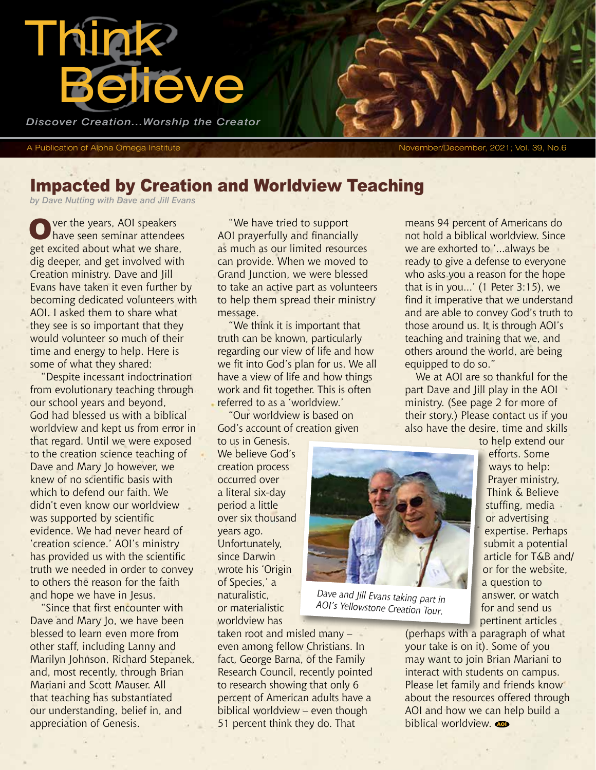

*Discover Creation...Worship the Creator*

A Publication of Alpha Omega Institute November/December, 2021; Vol. 39, No.6

# Impacted by Creation and Worldview Teaching

*by Dave Nutting with Dave and Jill Evans*

Over the years, AOI speakers<br>
Ohave seen seminar attendees get excited about what we share, dig deeper, and get involved with Creation ministry. Dave and Jill Evans have taken it even further by becoming dedicated volunteers with AOI. I asked them to share what they see is so important that they would volunteer so much of their time and energy to help. Here is some of what they shared:

"Despite incessant indoctrination from evolutionary teaching through our school years and beyond, God had blessed us with a biblical worldview and kept us from error in that regard. Until we were exposed to the creation science teaching of Dave and Mary Jo however, we knew of no scientific basis with which to defend our faith. We didn't even know our worldview was supported by scientific evidence. We had never heard of 'creation science.' AOI's ministry has provided us with the scientific truth we needed in order to convey to others the reason for the faith and hope we have in Jesus.

"Since that first encounter with Dave and Mary Jo, we have been blessed to learn even more from other staff, including Lanny and Marilyn Johnson, Richard Stepanek, and, most recently, through Brian Mariani and Scott Mauser. All that teaching has substantiated our understanding, belief in, and appreciation of Genesis.

"We have tried to support AOI prayerfully and financially as much as our limited resources can provide. When we moved to Grand Junction, we were blessed to take an active part as volunteers to help them spread their ministry message.

"We think it is important that truth can be known, particularly regarding our view of life and how we fit into God's plan for us. We all have a view of life and how things work and fit together. This is often referred to as a 'worldview.'

"Our worldview is based on God's account of creation given

taken root and misled many – even among fellow Christians. In fact, George Barna, of the Family Research Council, recently pointed to research showing that only 6 percent of American adults have a biblical worldview – even though 51 percent think they do. That

to us in Genesis. We believe God's creation process occurred over a literal six-day period a little over six thousand years ago. Unfortunately, since Darwin wrote his 'Origin of Species,' a naturalistic, or materialistic worldview has



*Dave and Jill Evans taking part in AOI's Yellowstone Creation Tour.*

means 94 percent of Americans do not hold a biblical worldview. Since we are exhorted to '...always be ready to give a defense to everyone who asks you a reason for the hope that is in you...' (1 Peter 3:15), we find it imperative that we understand and are able to convey God's truth to those around us. It is through AOI's teaching and training that we, and others around the world, are being equipped to do so."

We at AOI are so thankful for the part Dave and Jill play in the AOI ministry. (See page 2 for more of their story.) Please contact us if you also have the desire, time and skills to help extend our

> efforts. Some ways to help: Prayer ministry, Think & Believe stuffing, media or advertising expertise. Perhaps submit a potential article for T&B and/ or for the website, a question to answer, or watch for and send us pertinent articles

(perhaps with a paragraph of what your take is on it). Some of you may want to join Brian Mariani to interact with students on campus. Please let family and friends know about the resources offered through AOI and how we can help build a biblical worldview.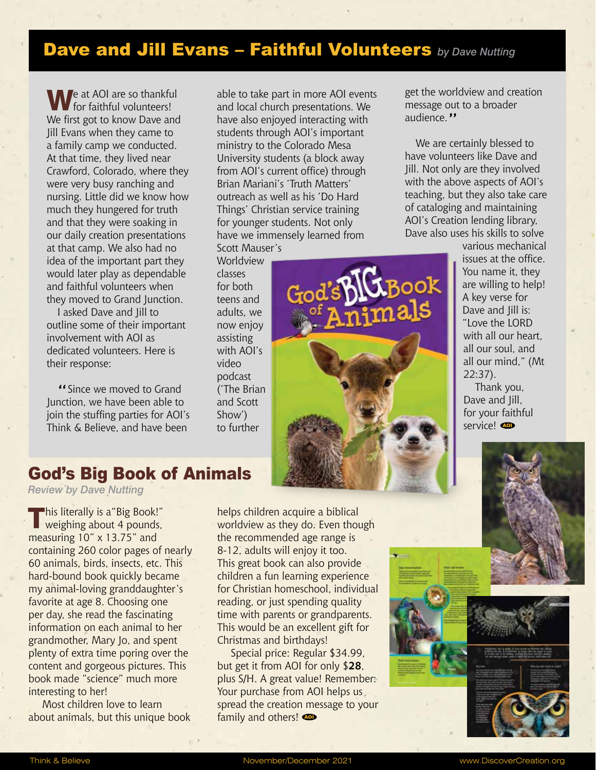## Dave and Jill Evans – Faithful Volunteers *by Dave Nutting*

We at AOI are so thankful<br>
for faithful volunteers! We first got to know Dave and Jill Evans when they came to a family camp we conducted. At that time, they lived near Crawford, Colorado, where they were very busy ranching and nursing. Little did we know how much they hungered for truth and that they were soaking in our daily creation presentations at that camp. We also had no idea of the important part they would later play as dependable and faithful volunteers when they moved to Grand Junction.

I asked Dave and Jill to outline some of their important involvement with AOI as dedicated volunteers. Here is their response:

"Since we moved to Grand Junction, we have been able to join the stuffing parties for AOI's Think & Believe, and have been

able to take part in more AOI events and local church presentations. We have also enjoyed interacting with students through AOI's important ministry to the Colorado Mesa University students (a block away from AOI's current office) through Brian Mariani's 'Truth Matters' outreach as well as his 'Do Hard Things' Christian service training for younger students. Not only have we immensely learned from Scott Mauser's

Worldview classes for both teens and adults, we now enjoy assisting with AOI's video podcast ('The Brian and Scott Show') to further

BIGBook<br>nimals God'sb

get the worldview and creation message out to a broader audience."

We are certainly blessed to have volunteers like Dave and Jill. Not only are they involved with the above aspects of AOI's teaching, but they also take care of cataloging and maintaining AOI's Creation lending library, Dave also uses his skills to solve

> various mechanical issues at the office. You name it, they are willing to help! A key verse for Dave and Jill is: "Love the LORD with all our heart, all our soul, and all our mind," (Mt 22:37).

Thank you, Dave and Jill, for your faithful service! **@** 

#### God's Big Book of Animals

*Review by Dave Nutting*

This literally is a "Big Book!" weighing about 4 pounds, measuring 10" x 13.75" and containing 260 color pages of nearly 60 animals, birds, insects, etc. This hard-bound book quickly became my animal-loving granddaughter's favorite at age 8. Choosing one per day, she read the fascinating information on each animal to her grandmother, Mary Jo, and spent plenty of extra time poring over the content and gorgeous pictures. This book made "science" much more interesting to her!

Most children love to learn about animals, but this unique book helps children acquire a biblical worldview as they do. Even though the recommended age range is 8-12, adults will enjoy it too. This great book can also provide children a fun learning experience for Christian homeschool, individual reading, or just spending quality time with parents or grandparents. This would be an excellent gift for Christmas and birthdays!

Special price: Regular \$34.99, but get it from AOI for only \$**28**, plus S/H. A great value! Remember: Your purchase from AOI helps us spread the creation message to your family and others!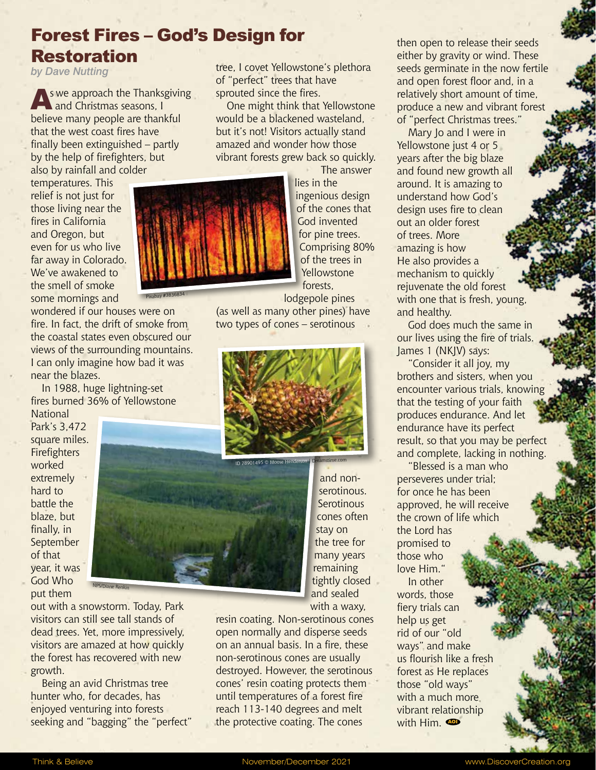# Forest Fires – God's Design for Restoration

Pixabay #3836834

*by Dave Nutting*

s we approach the Thanksgiving and Christmas seasons, I believe many people are thankful that the west coast fires have finally been extinguished – partly by the help of firefighters, but also by rainfall and colder

temperatures. This relief is not just for those living near the fires in California and Oregon, but even for us who live far away in Colorado. We've awakened to the smell of smoke some mornings and

wondered if our houses were on fire. In fact, the drift of smoke from the coastal states even obscured our views of the surrounding mountains. I can only imagine how bad it was near the blazes.

In 1988, huge lightning-set fires burned 36% of Yellowstone

**National** Park's 3,472 square miles. Firefighters worked extremely hard to battle the blaze, but finally, in September of that year, it was God Who put them

out with a snowstorm. Today, Park visitors can still see tall stands of dead trees. Yet, more impressively, visitors are amazed at how quickly the forest has recovered with new growth.

NPS/Diane Renkin

Being an avid Christmas tree hunter who, for decades, has enjoyed venturing into forests seeking and "bagging" the "perfect" tree, I covet Yellowstone's plethora of "perfect" trees that have sprouted since the fires.

One might think that Yellowstone would be a blackened wasteland, but it's not! Visitors actually stand amazed and wonder how those vibrant forests grew back so quickly.

> The answer lies in the ingenious design of the cones that God invented for pine trees. Comprising 80% of the trees in Yellowstone forests,

lodgepole pines (as well as many other pines) have two types of cones – serotinous





resin coating. Non-serotinous cones open normally and disperse seeds on an annual basis. In a fire, these non-serotinous cones are usually destroyed. However, the serotinous cones' resin coating protects them until temperatures of a forest fire reach 113-140 degrees and melt the protective coating. The cones

then open to release their seeds either by gravity or wind. These seeds germinate in the now fertile and open forest floor and, in a relatively short amount of time, produce a new and vibrant forest of "perfect Christmas trees."

Mary Jo and I were in Yellowstone just 4 or 5 years after the big blaze and found new growth all around. It is amazing to understand how God's design uses fire to clean out an older forest of trees. More amazing is how He also provides a mechanism to quickly rejuvenate the old forest with one that is fresh, young, and healthy.

God does much the same in our lives using the fire of trials. James 1 (NKJV) says:

"Consider it all joy, my brothers and sisters, when you encounter various trials, knowing that the testing of your faith produces endurance. And let endurance have its perfect result, so that you may be perfect and complete, lacking in nothing.

"Blessed is a man who perseveres under trial; for once he has been approved, he will receive the crown of life which the Lord has promised to those who love Him."

In other words, those fiery trials can help us get rid of our "old ways" and make us flourish like a fresh forest as He replaces those "old ways" with a much more. vibrant relationship with Him.  $\bullet$ 

Think & Believe **November/December 2021** Www.DiscoverCreation.org